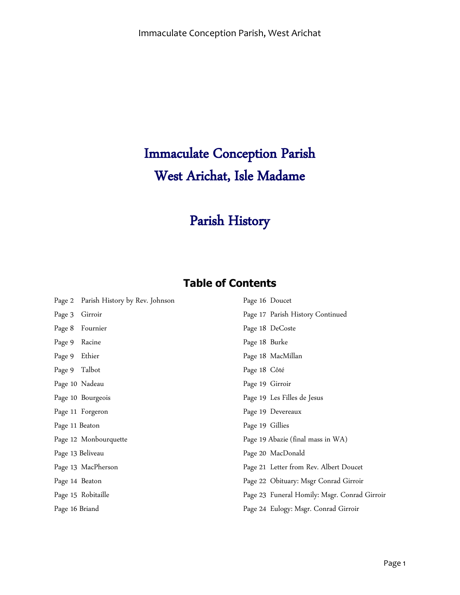# Immaculate Conception Parish West Arichat, Isle Madame

## Parish History

### **Table of Contents**

|                | Page 2 Parish History by Rev. Johnson | Page 16 Doucet                               |
|----------------|---------------------------------------|----------------------------------------------|
| Page 3         | Girroir                               | Page 17 Parish History Continued             |
| Page 8         | Fournier                              | Page 18 DeCoste                              |
| Page 9         | Racine                                | Page 18 Burke                                |
| Page 9         | Ethier                                | Page 18 MacMillan                            |
| Page 9 Talbot  |                                       | Page 18 Côté                                 |
| Page 10 Nadeau |                                       | Page 19 Girroir                              |
|                | Page 10 Bourgeois                     | Page 19 Les Filles de Jesus                  |
|                | Page 11 Forgeron                      | Page 19 Devereaux                            |
| Page 11 Beaton |                                       | Page 19 Gillies                              |
|                | Page 12 Monbourquette                 | Page 19 Abazie (final mass in WA)            |
|                | Page 13 Beliveau                      | Page 20 MacDonald                            |
|                | Page 13 MacPherson                    | Page 21 Letter from Rev. Albert Doucet       |
| Page 14 Beaton |                                       | Page 22 Obituary: Msgr Conrad Girroir        |
|                | Page 15 Robitaille                    | Page 23 Funeral Homily: Msgr. Conrad Girroir |
| Page 16 Briand |                                       | Page 24 Eulogy: Msgr. Conrad Girroir         |
|                |                                       |                                              |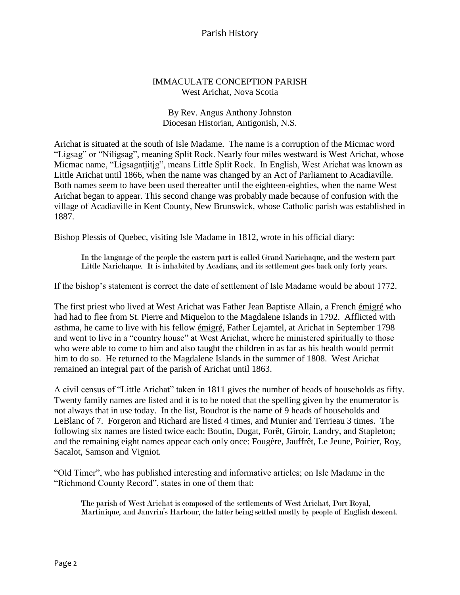#### IMMACULATE CONCEPTION PARISH West Arichat, Nova Scotia

#### By Rev. Angus Anthony Johnston Diocesan Historian, Antigonish, N.S.

Arichat is situated at the south of Isle Madame. The name is a corruption of the Micmac word "Ligsag" or "Niligsag", meaning Split Rock. Nearly four miles westward is West Arichat, whose Micmac name, "Ligsagatjitjg", means Little Split Rock. In English, West Arichat was known as Little Arichat until 1866, when the name was changed by an Act of Parliament to Acadiaville. Both names seem to have been used thereafter until the eighteen-eighties, when the name West Arichat began to appear. This second change was probably made because of confusion with the village of Acadiaville in Kent County, New Brunswick, whose Catholic parish was established in 1887.

Bishop Plessis of Quebec, visiting Isle Madame in 1812, wrote in his official diary:

In the language of the people the eastern part is called Grand Narichaque, and the western part Little Narichaque. It is inhabited by Acadians, and its settlement goes back only forty years.

If the bishop's statement is correct the date of settlement of Isle Madame would be about 1772.

The first priest who lived at West Arichat was Father Jean Baptiste Allain, a French émigré who had had to flee from St. Pierre and Miquelon to the Magdalene Islands in 1792. Afflicted with asthma, he came to live with his fellow émigré, Father Lejamtel, at Arichat in September 1798 and went to live in a "country house" at West Arichat, where he ministered spiritually to those who were able to come to him and also taught the children in as far as his health would permit him to do so. He returned to the Magdalene Islands in the summer of 1808. West Arichat remained an integral part of the parish of Arichat until 1863.

A civil census of "Little Arichat" taken in 1811 gives the number of heads of households as fifty. Twenty family names are listed and it is to be noted that the spelling given by the enumerator is not always that in use today. In the list, Boudrot is the name of 9 heads of households and LeBlanc of 7. Forgeron and Richard are listed 4 times, and Munier and Terrieau 3 times. The following six names are listed twice each: Boutin, Dugat, Forêt, Giroir, Landry, and Stapleton; and the remaining eight names appear each only once: Fougère, Jauffrêt, Le Jeune, Poirier, Roy, Sacalot, Samson and Vigniot.

"Old Timer", who has published interesting and informative articles; on Isle Madame in the "Richmond County Record", states in one of them that:

The parish of West Arichat is composed of the settlements of West Arichat, Port Royal, Martinique, and Janvrin's Harbour, the latter being settled mostly by people of English descent.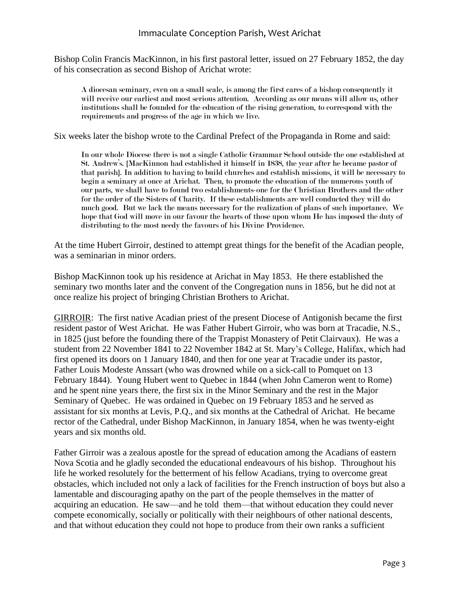#### Immaculate Conception Parish, West Arichat

Bishop Colin Francis MacKinnon, in his first pastoral letter, issued on 27 February 1852, the day of his consecration as second Bishop of Arichat wrote:

A diocesan seminary, even on a small scale, is among the first cares of a bishop consequently it will receive our earliest and most serious attention. According as our means will allow us, other institutions shall be founded for the education of the rising generation, to correspond with the requirements and progress of the age in which we live.

Six weeks later the bishop wrote to the Cardinal Prefect of the Propaganda in Rome and said:

In our whole Diocese there is not a single Catholic Grammar School outside the one established at St. Andrew's. {MacKinnon had established it himself in 1838, the year after he became pastor of that parish}. In addition to having to build churches and establish missions, it will be necessary to begin a seminary at once at Arichat. Then, to promote the education of the numerous youth of our parts, we shall have to found two establishments-one for the Christian Brothers and the other for the order of the Sisters of Charity. If these establishments are well conducted they will do much good. But we lack the means necessary for the realization of plans of such importance. We hope that God will move in our favour the hearts of those upon whom He has imposed the duty of distributing to the most needy the favours of his Divine Providence.

At the time Hubert Girroir, destined to attempt great things for the benefit of the Acadian people, was a seminarian in minor orders.

Bishop MacKinnon took up his residence at Arichat in May 1853. He there established the seminary two months later and the convent of the Congregation nuns in 1856, but he did not at once realize his project of bringing Christian Brothers to Arichat.

GIRROIR: The first native Acadian priest of the present Diocese of Antigonish became the first resident pastor of West Arichat. He was Father Hubert Girroir, who was born at Tracadie, N.S., in 1825 (just before the founding there of the Trappist Monastery of Petit Clairvaux). He was a student from 22 November 1841 to 22 November 1842 at St. Mary's College, Halifax, which had first opened its doors on 1 January 1840, and then for one year at Tracadie under its pastor, Father Louis Modeste Anssart (who was drowned while on a sick-call to Pomquet on 13 February 1844). Young Hubert went to Quebec in 1844 (when John Cameron went to Rome) and he spent nine years there, the first six in the Minor Seminary and the rest in the Major Seminary of Quebec. He was ordained in Quebec on 19 February 1853 and he served as assistant for six months at Levis, P.Q., and six months at the Cathedral of Arichat. He became rector of the Cathedral, under Bishop MacKinnon, in January 1854, when he was twenty-eight years and six months old.

Father Girroir was a zealous apostle for the spread of education among the Acadians of eastern Nova Scotia and he gladly seconded the educational endeavours of his bishop. Throughout his life he worked resolutely for the betterment of his fellow Acadians, trying to overcome great obstacles, which included not only a lack of facilities for the French instruction of boys but also a lamentable and discouraging apathy on the part of the people themselves in the matter of acquiring an education. He saw—and he told them—that without education they could never compete economically, socially or politically with their neighbours of other national descents, and that without education they could not hope to produce from their own ranks a sufficient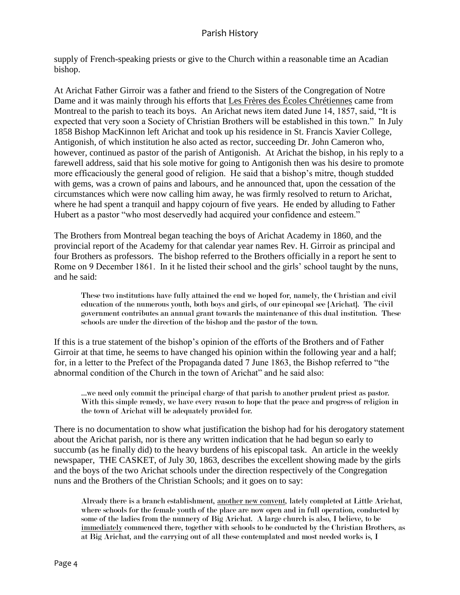supply of French-speaking priests or give to the Church within a reasonable time an Acadian bishop.

At Arichat Father Girroir was a father and friend to the Sisters of the Congregation of Notre Dame and it was mainly through his efforts that Les Frères des Écoles Chrétiennes came from Montreal to the parish to teach its boys. An Arichat news item dated June 14, 1857, said, "It is expected that very soon a Society of Christian Brothers will be established in this town." In July 1858 Bishop MacKinnon left Arichat and took up his residence in St. Francis Xavier College, Antigonish, of which institution he also acted as rector, succeeding Dr. John Cameron who, however, continued as pastor of the parish of Antigonish. At Arichat the bishop, in his reply to a farewell address, said that his sole motive for going to Antigonish then was his desire to promote more efficaciously the general good of religion. He said that a bishop's mitre, though studded with gems, was a crown of pains and labours, and he announced that, upon the cessation of the circumstances which were now calling him away, he was firmly resolved to return to Arichat, where he had spent a tranquil and happy cojourn of five years. He ended by alluding to Father Hubert as a pastor "who most deservedly had acquired your confidence and esteem."

The Brothers from Montreal began teaching the boys of Arichat Academy in 1860, and the provincial report of the Academy for that calendar year names Rev. H. Girroir as principal and four Brothers as professors. The bishop referred to the Brothers officially in a report he sent to Rome on 9 December 1861. In it he listed their school and the girls' school taught by the nuns, and he said:

These two institutions have fully attained the end we hoped for, namely, the Christian and civil education of the numerous youth, both boys and girls, of our epincopal see {Arichat}. The civil government contributes an annual grant towards the maintenance of this dual institution. These schools are under the direction of the bishop and the pastor of the town.

If this is a true statement of the bishop's opinion of the efforts of the Brothers and of Father Girroir at that time, he seems to have changed his opinion within the following year and a half; for, in a letter to the Prefect of the Propaganda dated 7 June 1863, the Bishop referred to "the abnormal condition of the Church in the town of Arichat" and he said also:

…we need only commit the principal charge of that parish to another prudent priest as pastor. With this simple remedy, we have every reason to hope that the peace and progress of religion in the town of Arichat will be adequately provided for.

There is no documentation to show what justification the bishop had for his derogatory statement about the Arichat parish, nor is there any written indication that he had begun so early to succumb (as he finally did) to the heavy burdens of his episcopal task. An article in the weekly newspaper, THE CASKET, of July 30, 1863, describes the excellent showing made by the girls and the boys of the two Arichat schools under the direction respectively of the Congregation nuns and the Brothers of the Christian Schools; and it goes on to say:

Already there is a branch establishment, another new convent, lately completed at Little Arichat, where schools for the female youth of the place are now open and in full operation, conducted by some of the ladies from the nunnery of Big Arichat. A large church is also, I believe, to be immediately commenced there, together with schools to be conducted by the Christian Brothers, as at Big Arichat, and the carrying out of all these contemplated and most needed works is, I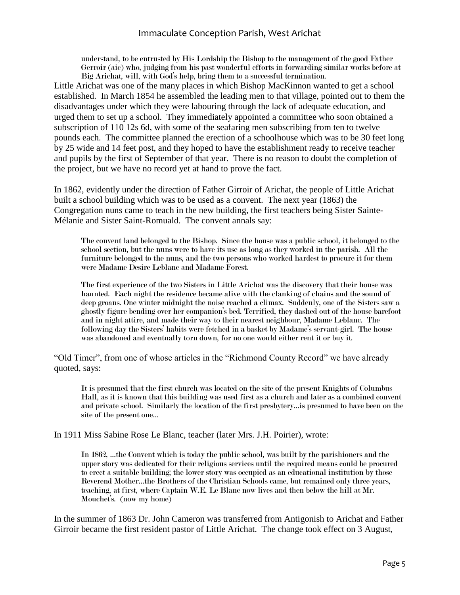#### Immaculate Conception Parish, West Arichat

understand, to be entrusted by His Lordship the Bishop to the management of the good Father Gerroir (aic) who, judging from his past wonderful efforts in forwarding similar works before at Big Arichat, will, with God's help, bring them to a successful termination.

Little Arichat was one of the many places in which Bishop MacKinnon wanted to get a school established. In March 1854 he assembled the leading men to that village, pointed out to them the disadvantages under which they were labouring through the lack of adequate education, and urged them to set up a school. They immediately appointed a committee who soon obtained a subscription of 110 12s 6d, with some of the seafaring men subscribing from ten to twelve pounds each. The committee planned the erection of a schoolhouse which was to be 30 feet long by 25 wide and 14 feet post, and they hoped to have the establishment ready to receive teacher and pupils by the first of September of that year. There is no reason to doubt the completion of the project, but we have no record yet at hand to prove the fact.

In 1862, evidently under the direction of Father Girroir of Arichat, the people of Little Arichat built a school building which was to be used as a convent. The next year (1863) the Congregation nuns came to teach in the new building, the first teachers being Sister Sainte-Mélanie and Sister Saint-Romuald. The convent annals say:

The convent land belonged to the Bishop. Since the house was a public school, it belonged to the school section, but the nuns were to have its use as long as they worked in the parish. All the furniture belonged to the nuns, and the two persons who worked hardest to procure it for them were Madame Desire Leblanc and Madame Forest.

The first experience of the two Sisters in Little Arichat was the discovery that their house was haunted. Each night the residence became alive with the clanking of chains and the sound of deep groans. One winter midnight the noise reached a climax. Suddenly, one of the Sisters saw a ghostly figure bending over her companion's bed. Terrified, they dashed out of the house barefoot and in night attire, and made their way to their nearest neighbour, Madame Leblanc. The following day the Sisters' habits were fetched in a basket by Madame's servant-girl. The house was abandoned and eventually torn down, for no one would either rent it or buy it.

"Old Timer", from one of whose articles in the "Richmond County Record" we have already quoted, says:

It is presumed that the first church was located on the site of the present Knights of Columbus Hall, as it is known that this building was used first as a church and later as a combined convent and private school. Similarly the location of the first presbytery…is presumed to have been on the site of the present one…

In 1911 Miss Sabine Rose Le Blanc, teacher (later Mrs. J.H. Poirier), wrote:

In 1862, …the Convent which is today the public school, was built by the parishioners and the upper story was dedicated for their religious services until the required means could be procured to erect a suitable building; the lower story was occupied as an educational institution by those Reverend Mother…the Brothers of the Christian Schools came, but remained only three years, teaching, at first, where Captain W.E. Le Blanc now lives and then below the hill at Mr. Mouchet's. (now my home)

In the summer of 1863 Dr. John Cameron was transferred from Antigonish to Arichat and Father Girroir became the first resident pastor of Little Arichat. The change took effect on 3 August,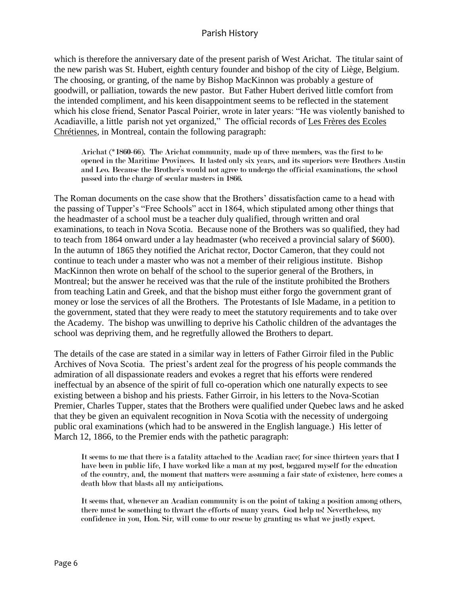which is therefore the anniversary date of the present parish of West Arichat. The titular saint of the new parish was St. Hubert, eighth century founder and bishop of the city of Liège, Belgium. The choosing, or granting, of the name by Bishop MacKinnon was probably a gesture of goodwill, or palliation, towards the new pastor. But Father Hubert derived little comfort from the intended compliment, and his keen disappointment seems to be reflected in the statement which his close friend, Senator Pascal Poirier, wrote in later years: "He was violently banished to Acadiaville, a little parish not yet organized," The official records of Les Frères des Ecoles Chrétiennes, in Montreal, contain the following paragraph:

Arichat (\*1860-66). The Arichat community, made up of three members, was the first to be opened in the Maritime Provinces. It lasted only six years, and its superiors were Brothers Austin and Leo. Because the Brother's would not agree to undergo the official examinations, the school passed into the charge of secular masters in 1866.

The Roman documents on the case show that the Brothers' dissatisfaction came to a head with the passing of Tupper's "Free Schools" acct in 1864, which stipulated among other things that the headmaster of a school must be a teacher duly qualified, through written and oral examinations, to teach in Nova Scotia. Because none of the Brothers was so qualified, they had to teach from 1864 onward under a lay headmaster (who received a provincial salary of \$600). In the autumn of 1865 they notified the Arichat rector, Doctor Cameron, that they could not continue to teach under a master who was not a member of their religious institute. Bishop MacKinnon then wrote on behalf of the school to the superior general of the Brothers, in Montreal; but the answer he received was that the rule of the institute prohibited the Brothers from teaching Latin and Greek, and that the bishop must either forgo the government grant of money or lose the services of all the Brothers. The Protestants of Isle Madame, in a petition to the government, stated that they were ready to meet the statutory requirements and to take over the Academy. The bishop was unwilling to deprive his Catholic children of the advantages the school was depriving them, and he regretfully allowed the Brothers to depart.

The details of the case are stated in a similar way in letters of Father Girroir filed in the Public Archives of Nova Scotia. The priest's ardent zeal for the progress of his people commands the admiration of all dispassionate readers and evokes a regret that his efforts were rendered ineffectual by an absence of the spirit of full co-operation which one naturally expects to see existing between a bishop and his priests. Father Girroir, in his letters to the Nova-Scotian Premier, Charles Tupper, states that the Brothers were qualified under Quebec laws and he asked that they be given an equivalent recognition in Nova Scotia with the necessity of undergoing public oral examinations (which had to be answered in the English language.) His letter of March 12, 1866, to the Premier ends with the pathetic paragraph:

It seems to me that there is a fatality attached to the Acadian race; for since thirteen years that I have been in public life, I have worked like a man at my post, beggared myself for the education of the country, and, the moment that matters were assuming a fair state of existence, here comes a death blow that blasts all my anticipations.

It seems that, whenever an Acadian community is on the point of taking a position among others, there must be something to thwart the efforts of many years. God help us! Nevertheless, my confidence in you, Hon. Sir, will come to our rescue by granting us what we justly expect.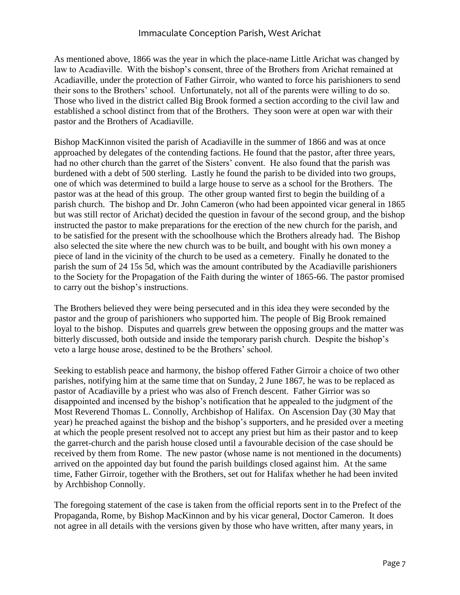As mentioned above, 1866 was the year in which the place-name Little Arichat was changed by law to Acadiaville. With the bishop's consent, three of the Brothers from Arichat remained at Acadiaville, under the protection of Father Girroir, who wanted to force his parishioners to send their sons to the Brothers' school. Unfortunately, not all of the parents were willing to do so. Those who lived in the district called Big Brook formed a section according to the civil law and established a school distinct from that of the Brothers. They soon were at open war with their pastor and the Brothers of Acadiaville.

Bishop MacKinnon visited the parish of Acadiaville in the summer of 1866 and was at once approached by delegates of the contending factions. He found that the pastor, after three years, had no other church than the garret of the Sisters' convent. He also found that the parish was burdened with a debt of 500 sterling. Lastly he found the parish to be divided into two groups, one of which was determined to build a large house to serve as a school for the Brothers. The pastor was at the head of this group. The other group wanted first to begin the building of a parish church. The bishop and Dr. John Cameron (who had been appointed vicar general in 1865 but was still rector of Arichat) decided the question in favour of the second group, and the bishop instructed the pastor to make preparations for the erection of the new church for the parish, and to be satisfied for the present with the schoolhouse which the Brothers already had. The Bishop also selected the site where the new church was to be built, and bought with his own money a piece of land in the vicinity of the church to be used as a cemetery. Finally he donated to the parish the sum of 24 15s 5d, which was the amount contributed by the Acadiaville parishioners to the Society for the Propagation of the Faith during the winter of 1865-66. The pastor promised to carry out the bishop's instructions.

The Brothers believed they were being persecuted and in this idea they were seconded by the pastor and the group of parishioners who supported him. The people of Big Brook remained loyal to the bishop. Disputes and quarrels grew between the opposing groups and the matter was bitterly discussed, both outside and inside the temporary parish church. Despite the bishop's veto a large house arose, destined to be the Brothers' school.

Seeking to establish peace and harmony, the bishop offered Father Girroir a choice of two other parishes, notifying him at the same time that on Sunday, 2 June 1867, he was to be replaced as pastor of Acadiaville by a priest who was also of French descent. Father Girrior was so disappointed and incensed by the bishop's notification that he appealed to the judgment of the Most Reverend Thomas L. Connolly, Archbishop of Halifax. On Ascension Day (30 May that year) he preached against the bishop and the bishop's supporters, and he presided over a meeting at which the people present resolved not to accept any priest but him as their pastor and to keep the garret-church and the parish house closed until a favourable decision of the case should be received by them from Rome. The new pastor (whose name is not mentioned in the documents) arrived on the appointed day but found the parish buildings closed against him. At the same time, Father Girroir, together with the Brothers, set out for Halifax whether he had been invited by Archbishop Connolly.

The foregoing statement of the case is taken from the official reports sent in to the Prefect of the Propaganda, Rome, by Bishop MacKinnon and by his vicar general, Doctor Cameron. It does not agree in all details with the versions given by those who have written, after many years, in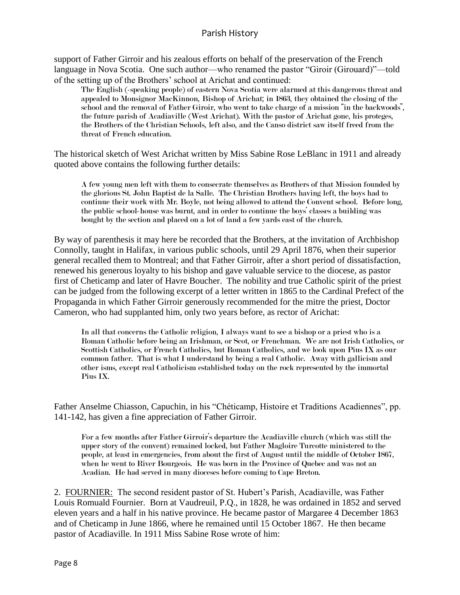support of Father Girroir and his zealous efforts on behalf of the preservation of the French language in Nova Scotia. One such author—who renamed the pastor "Giroir (Girouard)"—told of the setting up of the Brothers' school at Arichat and continued:

The English (-speaking people) of eastern Nova Scotia were alarmed at this dangerous threat and appealed to Monsignor MacKinnon, Bishop of Arichat; in 1863, they obtained the closing of the school and the removal of Father Giroir, who went to take charge of a mission "in the backwoods", the future parish of Acadiaville (West Arichat). With the pastor of Arichat gone, his proteges, the Brothers of the Christian Schools, left also, and the Canso district saw itself freed from the threat of French education.

The historical sketch of West Arichat written by Miss Sabine Rose LeBlanc in 1911 and already quoted above contains the following further details:

A few young men left with them to consecrate themselves as Brothers of that Mission founded by the glorious St. John Baptist de la Salle. The Christian Brothers having left, the boys had to continue their work with Mr. Boyle, not being allowed to attend the Convent school. Before long, the public school-house was burnt, and in order to continue the boys' classes a building was bought by the section and placed on a lot of land a few yards east of the church.

By way of parenthesis it may here be recorded that the Brothers, at the invitation of Archbishop Connolly, taught in Halifax, in various public schools, until 29 April 1876, when their superior general recalled them to Montreal; and that Father Girroir, after a short period of dissatisfaction, renewed his generous loyalty to his bishop and gave valuable service to the diocese, as pastor first of Cheticamp and later of Havre Boucher. The nobility and true Catholic spirit of the priest can be judged from the following excerpt of a letter written in 1865 to the Cardinal Prefect of the Propaganda in which Father Girroir generously recommended for the mitre the priest, Doctor Cameron, who had supplanted him, only two years before, as rector of Arichat:

In all that concerns the Catholic religion, I always want to see a bishop or a priest who is a Roman Catholic before being an Irishman, or Scot, or Frenchman. We are not Irish Catholics, or Scottish Catholics, or French Catholics, but Roman Catholics, and we look upon Pius IX as our common father. That is what I understand by being a real Catholic. Away with gallicism and other isms, except real Catholicism established today on the rock represented by the immortal Pius IX.

Father Anselme Chiasson, Capuchin, in his "Chéticamp, Histoire et Traditions Acadiennes", pp. 141-142, has given a fine appreciation of Father Girroir.

For a few months after Father Girroir's departure the Acadiaville church (which was still the upper story of the convent) remained locked, but Father Magloire Turcotte ministered to the people, at least in emergencies, from about the first of August until the middle of October 1867, when he went to River Bourgeois. He was born in the Province of Quebec and was not an Acadian. He had served in many dioceses before coming to Cape Breton.

2. FOURNIER: The second resident pastor of St. Hubert's Parish, Acadiaville, was Father Louis Romuald Fournier. Born at Vaudreuil, P.Q., in 1828, he was ordained in 1852 and served eleven years and a half in his native province. He became pastor of Margaree 4 December 1863 and of Cheticamp in June 1866, where he remained until 15 October 1867. He then became pastor of Acadiaville. In 1911 Miss Sabine Rose wrote of him: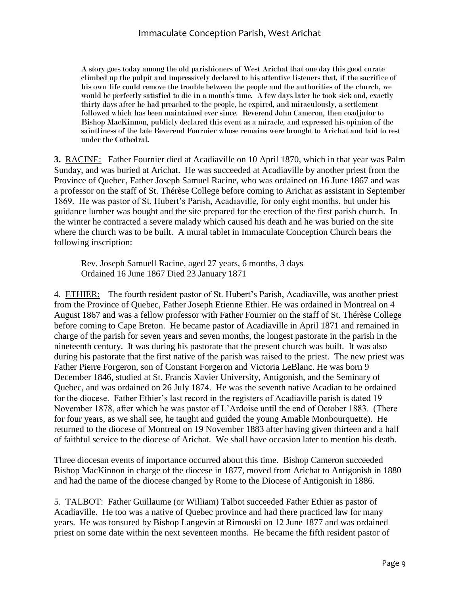A story goes today among the old parishioners of West Arichat that one day this good curate climbed up the pulpit and impressively declared to his attentive listeners that, if the sacrifice of his own life could remove the trouble between the people and the authorities of the church, we would be perfectly satisfied to die in a month's time. A few days later he took sick and, exactly thirty days after he had preached to the people, he expired, and miraculously, a settlement followed which has been maintained ever since. Reverend John Cameron, then coadjutor to Bishop MacKinnon, publicly declared this event as a miracle, and expressed his opinion of the saintliness of the late Reverend Fournier whose remains were brought to Arichat and laid to rest under the Cathedral.

**3.** RACINE: Father Fournier died at Acadiaville on 10 April 1870, which in that year was Palm Sunday, and was buried at Arichat. He was succeeded at Acadiaville by another priest from the Province of Quebec, Father Joseph Samuel Racine, who was ordained on 16 June 1867 and was a professor on the staff of St. Thérèse College before coming to Arichat as assistant in September 1869. He was pastor of St. Hubert's Parish, Acadiaville, for only eight months, but under his guidance lumber was bought and the site prepared for the erection of the first parish church. In the winter he contracted a severe malady which caused his death and he was buried on the site where the church was to be built. A mural tablet in Immaculate Conception Church bears the following inscription:

Rev. Joseph Samuell Racine, aged 27 years, 6 months, 3 days Ordained 16 June 1867 Died 23 January 1871

4. ETHIER: The fourth resident pastor of St. Hubert's Parish, Acadiaville, was another priest from the Province of Quebec, Father Joseph Etienne Ethier. He was ordained in Montreal on 4 August 1867 and was a fellow professor with Father Fournier on the staff of St. Thérèse College before coming to Cape Breton. He became pastor of Acadiaville in April 1871 and remained in charge of the parish for seven years and seven months, the longest pastorate in the parish in the nineteenth century. It was during his pastorate that the present church was built. It was also during his pastorate that the first native of the parish was raised to the priest. The new priest was Father Pierre Forgeron, son of Constant Forgeron and Victoria LeBlanc. He was born 9 December 1846, studied at St. Francis Xavier University, Antigonish, and the Seminary of Quebec, and was ordained on 26 July 1874. He was the seventh native Acadian to be ordained for the diocese. Father Ethier's last record in the registers of Acadiaville parish is dated 19 November 1878, after which he was pastor of L'Ardoise until the end of October 1883. (There for four years, as we shall see, he taught and guided the young Amable Monbourquette). He returned to the diocese of Montreal on 19 November 1883 after having given thirteen and a half of faithful service to the diocese of Arichat. We shall have occasion later to mention his death.

Three diocesan events of importance occurred about this time. Bishop Cameron succeeded Bishop MacKinnon in charge of the diocese in 1877, moved from Arichat to Antigonish in 1880 and had the name of the diocese changed by Rome to the Diocese of Antigonish in 1886.

5. TALBOT: Father Guillaume (or William) Talbot succeeded Father Ethier as pastor of Acadiaville. He too was a native of Quebec province and had there practiced law for many years. He was tonsured by Bishop Langevin at Rimouski on 12 June 1877 and was ordained priest on some date within the next seventeen months. He became the fifth resident pastor of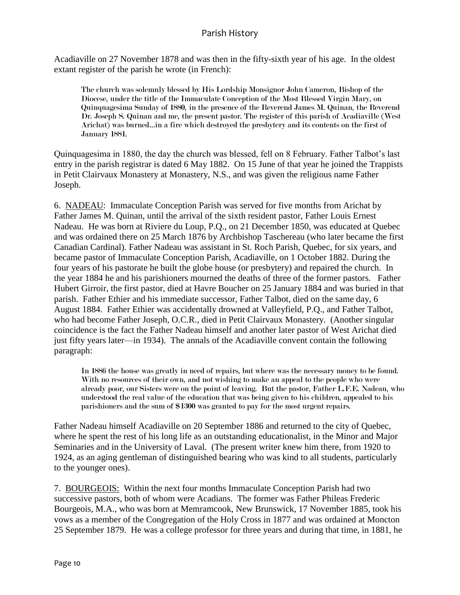Acadiaville on 27 November 1878 and was then in the fifty-sixth year of his age. In the oldest extant register of the parish he wrote (in French):

The church was solemnly blessed by His Lordship Monsignor John Cameron, Bishop of the Diocese, under the title of the Immaculate Conception of the Most Blessed Virgin Mary, on Quinquagesima Sunday of 1880, in the presence of the Reverend James M. Quinan, the Reverend Dr. Joseph S. Quinan and me, the present pastor. The register of this parish of Acadiaville (West Arichat) was burned…in a fire which destroyed the presbytery and its contents on the first of January 1881.

Quinquagesima in 1880, the day the church was blessed, fell on 8 February. Father Talbot's last entry in the parish registrar is dated 6 May 1882. On 15 June of that year he joined the Trappists in Petit Clairvaux Monastery at Monastery, N.S., and was given the religious name Father Joseph.

6. NADEAU: Immaculate Conception Parish was served for five months from Arichat by Father James M. Quinan, until the arrival of the sixth resident pastor, Father Louis Ernest Nadeau. He was born at Riviere du Loup, P.Q., on 21 December 1850, was educated at Quebec and was ordained there on 25 March 1876 by Archbishop Taschereau (who later became the first Canadian Cardinal). Father Nadeau was assistant in St. Roch Parish, Quebec, for six years, and became pastor of Immaculate Conception Parish, Acadiaville, on 1 October 1882. During the four years of his pastorate he built the globe house (or presbytery) and repaired the church. In the year 1884 he and his parishioners mourned the deaths of three of the former pastors. Father Hubert Girroir, the first pastor, died at Havre Boucher on 25 January 1884 and was buried in that parish. Father Ethier and his immediate successor, Father Talbot, died on the same day, 6 August 1884. Father Ethier was accidentally drowned at Valleyfield, P.Q., and Father Talbot, who had become Father Joseph, O.C.R., died in Petit Clairvaux Monastery. (Another singular coincidence is the fact the Father Nadeau himself and another later pastor of West Arichat died just fifty years later—in 1934). The annals of the Acadiaville convent contain the following paragraph:

In 1886 the house was greatly in need of repairs, but where was the necessary money to be found. With no resources of their own, and not wishing to make an appeal to the people who were already poor, our Sisters were on the point of leaving. But the pastor, Father L.F.E. Nadeau, who understood the real value of the education that was being given to his children, appealed to his parishioners and the sum of \$1300 was granted to pay for the most urgent repairs.

Father Nadeau himself Acadiaville on 20 September 1886 and returned to the city of Quebec, where he spent the rest of his long life as an outstanding educationalist, in the Minor and Major Seminaries and in the University of Laval. (The present writer knew him there, from 1920 to 1924, as an aging gentleman of distinguished bearing who was kind to all students, particularly to the younger ones).

7. BOURGEOIS: Within the next four months Immaculate Conception Parish had two successive pastors, both of whom were Acadians. The former was Father Phileas Frederic Bourgeois, M.A., who was born at Memramcook, New Brunswick, 17 November 1885, took his vows as a member of the Congregation of the Holy Cross in 1877 and was ordained at Moncton 25 September 1879. He was a college professor for three years and during that time, in 1881, he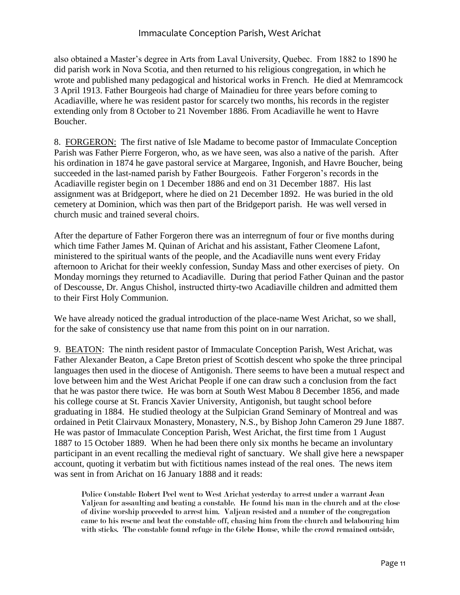#### Immaculate Conception Parish, West Arichat

also obtained a Master's degree in Arts from Laval University, Quebec. From 1882 to 1890 he did parish work in Nova Scotia, and then returned to his religious congregation, in which he wrote and published many pedagogical and historical works in French. He died at Memramcock 3 April 1913. Father Bourgeois had charge of Mainadieu for three years before coming to Acadiaville, where he was resident pastor for scarcely two months, his records in the register extending only from 8 October to 21 November 1886. From Acadiaville he went to Havre Boucher.

8. FORGERON: The first native of Isle Madame to become pastor of Immaculate Conception Parish was Father Pierre Forgeron, who, as we have seen, was also a native of the parish. After his ordination in 1874 he gave pastoral service at Margaree, Ingonish, and Havre Boucher, being succeeded in the last-named parish by Father Bourgeois. Father Forgeron's records in the Acadiaville register begin on 1 December 1886 and end on 31 December 1887. His last assignment was at Bridgeport, where he died on 21 December 1892. He was buried in the old cemetery at Dominion, which was then part of the Bridgeport parish. He was well versed in church music and trained several choirs.

After the departure of Father Forgeron there was an interregnum of four or five months during which time Father James M. Quinan of Arichat and his assistant, Father Cleomene Lafont, ministered to the spiritual wants of the people, and the Acadiaville nuns went every Friday afternoon to Arichat for their weekly confession, Sunday Mass and other exercises of piety. On Monday mornings they returned to Acadiaville. During that period Father Quinan and the pastor of Descousse, Dr. Angus Chishol, instructed thirty-two Acadiaville children and admitted them to their First Holy Communion.

We have already noticed the gradual introduction of the place-name West Arichat, so we shall, for the sake of consistency use that name from this point on in our narration.

9. BEATON: The ninth resident pastor of Immaculate Conception Parish, West Arichat, was Father Alexander Beaton, a Cape Breton priest of Scottish descent who spoke the three principal languages then used in the diocese of Antigonish. There seems to have been a mutual respect and love between him and the West Arichat People if one can draw such a conclusion from the fact that he was pastor there twice. He was born at South West Mabou 8 December 1856, and made his college course at St. Francis Xavier University, Antigonish, but taught school before graduating in 1884. He studied theology at the Sulpician Grand Seminary of Montreal and was ordained in Petit Clairvaux Monastery, Monastery, N.S., by Bishop John Cameron 29 June 1887. He was pastor of Immaculate Conception Parish, West Arichat, the first time from 1 August 1887 to 15 October 1889. When he had been there only six months he became an involuntary participant in an event recalling the medieval right of sanctuary. We shall give here a newspaper account, quoting it verbatim but with fictitious names instead of the real ones. The news item was sent in from Arichat on 16 January 1888 and it reads:

Police Constable Robert Peel went to West Arichat yesterday to arrest under a warrant Jean Valjean for assaulting and beating a constable. He found his man in the church and at the close of divine worship proceeded to arrest him. Valjean resisted and a number of the congregation came to his rescue and beat the constable off, chasing him from the church and belabouring him with sticks. The constable found refuge in the Glebe House, while the crowd remained outside,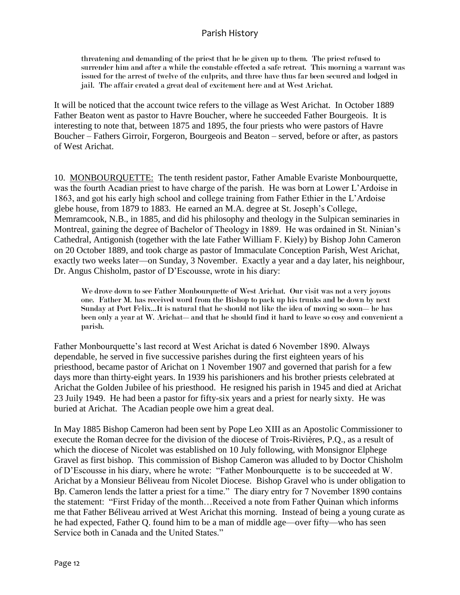threatening and demanding of the priest that he be given up to them. The priest refused to surrender him and after a while the constable effected a safe retreat. This morning a warrant was issued for the arrest of twelve of the culprits, and three have thus far been secured and lodged in jail. The affair created a great deal of excitement here and at West Arichat.

It will be noticed that the account twice refers to the village as West Arichat. In October 1889 Father Beaton went as pastor to Havre Boucher, where he succeeded Father Bourgeois. It is interesting to note that, between 1875 and 1895, the four priests who were pastors of Havre Boucher – Fathers Girroir, Forgeron, Bourgeois and Beaton – served, before or after, as pastors of West Arichat.

10. MONBOURQUETTE: The tenth resident pastor, Father Amable Evariste Monbourquette, was the fourth Acadian priest to have charge of the parish. He was born at Lower L'Ardoise in 1863, and got his early high school and college training from Father Ethier in the L'Ardoise glebe house, from 1879 to 1883. He earned an M.A. degree at St. Joseph's College, Memramcook, N.B., in 1885, and did his philosophy and theology in the Sulpican seminaries in Montreal, gaining the degree of Bachelor of Theology in 1889. He was ordained in St. Ninian's Cathedral, Antigonish (together with the late Father William F. Kiely) by Bishop John Cameron on 20 October 1889, and took charge as pastor of Immaculate Conception Parish, West Arichat, exactly two weeks later—on Sunday, 3 November. Exactly a year and a day later, his neighbour, Dr. Angus Chisholm, pastor of D'Escousse, wrote in his diary:

We drove down to see Father Monbourquette of West Arichat. Our visit was not a very joyous one. Father M. has received word from the Bishop to pack up his trunks and be down by next Sunday at Port Felix...It is natural that he should not like the idea of moving so soon— he has been only a year at W. Arichat—and that he should find it hard to leave so cosy and convenient a parish.

Father Monbourquette's last record at West Arichat is dated 6 November 1890. Always dependable, he served in five successive parishes during the first eighteen years of his priesthood, became pastor of Arichat on 1 November 1907 and governed that parish for a few days more than thirty-eight years. In 1939 his parishioners and his brother priests celebrated at Arichat the Golden Jubilee of his priesthood. He resigned his parish in 1945 and died at Arichat 23 Juily 1949. He had been a pastor for fifty-six years and a priest for nearly sixty. He was buried at Arichat. The Acadian people owe him a great deal.

In May 1885 Bishop Cameron had been sent by Pope Leo XIII as an Apostolic Commissioner to execute the Roman decree for the division of the diocese of Trois-Rivières, P.Q., as a result of which the diocese of Nicolet was established on 10 July following, with Monsignor Elphege Gravel as first bishop. This commission of Bishop Cameron was alluded to by Doctor Chisholm of D'Escousse in his diary, where he wrote: "Father Monbourquette is to be succeeded at W. Arichat by a Monsieur Béliveau from Nicolet Diocese. Bishop Gravel who is under obligation to Bp. Cameron lends the latter a priest for a time." The diary entry for 7 November 1890 contains the statement: "First Friday of the month…Received a note from Father Quinan which informs me that Father Béliveau arrived at West Arichat this morning. Instead of being a young curate as he had expected, Father Q. found him to be a man of middle age—over fifty—who has seen Service both in Canada and the United States."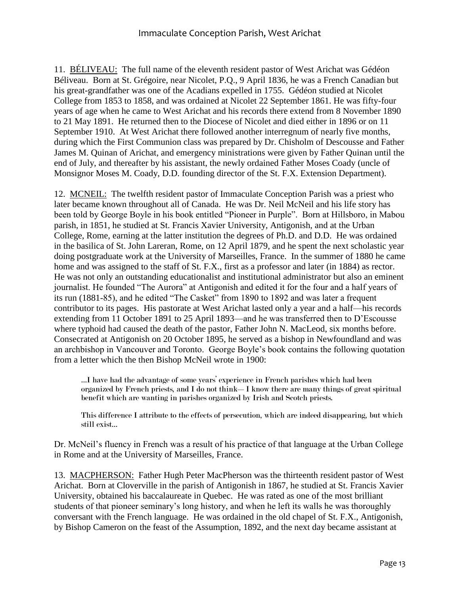#### Immaculate Conception Parish, West Arichat

11. BÉLIVEAU: The full name of the eleventh resident pastor of West Arichat was Gédéon Béliveau. Born at St. Grégoire, near Nicolet, P.Q., 9 April 1836, he was a French Canadian but his great-grandfather was one of the Acadians expelled in 1755. Gédéon studied at Nicolet College from 1853 to 1858, and was ordained at Nicolet 22 September 1861. He was fifty-four years of age when he came to West Arichat and his records there extend from 8 November 1890 to 21 May 1891. He returned then to the Diocese of Nicolet and died either in 1896 or on 11 September 1910. At West Arichat there followed another interregnum of nearly five months, during which the First Communion class was prepared by Dr. Chisholm of Descousse and Father James M. Quinan of Arichat, and emergency ministrations were given by Father Quinan until the end of July, and thereafter by his assistant, the newly ordained Father Moses Coady (uncle of Monsignor Moses M. Coady, D.D. founding director of the St. F.X. Extension Department).

12. MCNEIL: The twelfth resident pastor of Immaculate Conception Parish was a priest who later became known throughout all of Canada. He was Dr. Neil McNeil and his life story has been told by George Boyle in his book entitled "Pioneer in Purple". Born at Hillsboro, in Mabou parish, in 1851, he studied at St. Francis Xavier University, Antigonish, and at the Urban College, Rome, earning at the latter institution the degrees of Ph.D. and D.D. He was ordained in the basilica of St. John Lareran, Rome, on 12 April 1879, and he spent the next scholastic year doing postgraduate work at the University of Marseilles, France. In the summer of 1880 he came home and was assigned to the staff of St. F.X., first as a professor and later (in 1884) as rector. He was not only an outstanding educationalist and institutional administrator but also an eminent journalist. He founded "The Aurora" at Antigonish and edited it for the four and a half years of its run (1881-85), and he edited "The Casket" from 1890 to 1892 and was later a frequent contributor to its pages. His pastorate at West Arichat lasted only a year and a half—his records extending from 11 October 1891 to 25 April 1893—and he was transferred then to D'Escousse where typhoid had caused the death of the pastor, Father John N. MacLeod, six months before. Consecrated at Antigonish on 20 October 1895, he served as a bishop in Newfoundland and was an archbishop in Vancouver and Toronto. George Boyle's book contains the following quotation from a letter which the then Bishop McNeil wrote in 1900:

…I have had the advantage of some years' experience in French parishes which had been organized by French priests, and I do not think—I know there are many things of great spiritual benefit which are wanting in parishes organized by Irish and Scotch priests.

This difference I attribute to the effects of persecution, which are indeed disappearing, but which still exist…

Dr. McNeil's fluency in French was a result of his practice of that language at the Urban College in Rome and at the University of Marseilles, France.

13. MACPHERSON: Father Hugh Peter MacPherson was the thirteenth resident pastor of West Arichat. Born at Cloverville in the parish of Antigonish in 1867, he studied at St. Francis Xavier University, obtained his baccalaureate in Quebec. He was rated as one of the most brilliant students of that pioneer seminary's long history, and when he left its walls he was thoroughly conversant with the French language. He was ordained in the old chapel of St. F.X., Antigonish, by Bishop Cameron on the feast of the Assumption, 1892, and the next day became assistant at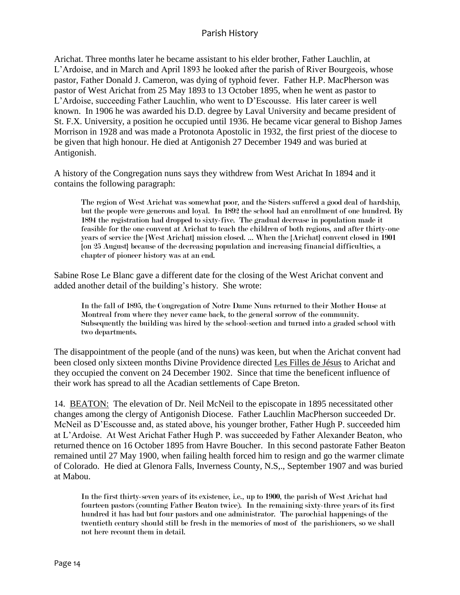Arichat. Three months later he became assistant to his elder brother, Father Lauchlin, at L'Ardoise, and in March and April 1893 he looked after the parish of River Bourgeois, whose pastor, Father Donald J. Cameron, was dying of typhoid fever. Father H.P. MacPherson was pastor of West Arichat from 25 May 1893 to 13 October 1895, when he went as pastor to L'Ardoise, succeeding Father Lauchlin, who went to D'Escousse. His later career is well known. In 1906 he was awarded his D.D. degree by Laval University and became president of St. F.X. University, a position he occupied until 1936. He became vicar general to Bishop James Morrison in 1928 and was made a Protonota Apostolic in 1932, the first priest of the diocese to be given that high honour. He died at Antigonish 27 December 1949 and was buried at Antigonish.

A history of the Congregation nuns says they withdrew from West Arichat In 1894 and it contains the following paragraph:

The region of West Arichat was somewhat poor, and the Sisters suffered a good deal of hardship, but the people were generous and loyal. In 1892 the school had an enrollment of one hundred. By 1894 the registration had dropped to sixty-five. The gradual decrease in population made it feasible for the one convent at Arichat to teach the children of both regions, and after thirty-one years of service the {West Arichat} mission closed. … When the {Arichat} convent closed in 1901 {on 25 August} because of the decreasing population and increasing financial difficulties, a chapter of pioneer history was at an end.

Sabine Rose Le Blanc gave a different date for the closing of the West Arichat convent and added another detail of the building's history. She wrote:

In the fall of 1895, the Congregation of Notre Dame Nuns returned to their Mother House at Montreal from where they never came back, to the general sorrow of the community. Subsequently the building was hired by the school-section and turned into a graded school with two departments.

The disappointment of the people (and of the nuns) was keen, but when the Arichat convent had been closed only sixteen months Divine Providence directed Les Filles de Jésus to Arichat and they occupied the convent on 24 December 1902. Since that time the beneficent influence of their work has spread to all the Acadian settlements of Cape Breton.

14. BEATON: The elevation of Dr. Neil McNeil to the episcopate in 1895 necessitated other changes among the clergy of Antigonish Diocese. Father Lauchlin MacPherson succeeded Dr. McNeil as D'Escousse and, as stated above, his younger brother, Father Hugh P. succeeded him at L'Ardoise. At West Arichat Father Hugh P. was succeeded by Father Alexander Beaton, who returned thence on 16 October 1895 from Havre Boucher. In this second pastorate Father Beaton remained until 27 May 1900, when failing health forced him to resign and go the warmer climate of Colorado. He died at Glenora Falls, Inverness County, N.S,., September 1907 and was buried at Mabou.

In the first thirty-seven years of its existence, i.e., up to 1900, the parish of West Arichat had fourteen pastors (counting Father Beaton twice). In the remaining sixty-three years of its first hundred it has had but four pastors and one administrator. The parochial happenings of the twentieth century should still be fresh in the memories of most of the parishioners, so we shall not here recount them in detail.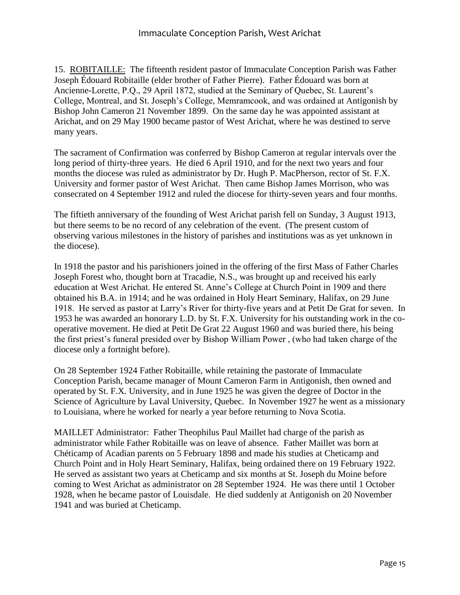15. ROBITAILLE: The fifteenth resident pastor of Immaculate Conception Parish was Father Joseph Édouard Robitaille (elder brother of Father Pierre). Father Édouard was born at Ancienne-Lorette, P.Q., 29 April 1872, studied at the Seminary of Quebec, St. Laurent's College, Montreal, and St. Joseph's College, Memramcook, and was ordained at Antigonish by Bishop John Cameron 21 November 1899. On the same day he was appointed assistant at Arichat, and on 29 May 1900 became pastor of West Arichat, where he was destined to serve many years.

The sacrament of Confirmation was conferred by Bishop Cameron at regular intervals over the long period of thirty-three years. He died 6 April 1910, and for the next two years and four months the diocese was ruled as administrator by Dr. Hugh P. MacPherson, rector of St. F.X. University and former pastor of West Arichat. Then came Bishop James Morrison, who was consecrated on 4 September 1912 and ruled the diocese for thirty-seven years and four months.

The fiftieth anniversary of the founding of West Arichat parish fell on Sunday, 3 August 1913, but there seems to be no record of any celebration of the event. (The present custom of observing various milestones in the history of parishes and institutions was as yet unknown in the diocese).

In 1918 the pastor and his parishioners joined in the offering of the first Mass of Father Charles Joseph Forest who, thought born at Tracadie, N.S., was brought up and received his early education at West Arichat. He entered St. Anne's College at Church Point in 1909 and there obtained his B.A. in 1914; and he was ordained in Holy Heart Seminary, Halifax, on 29 June 1918. He served as pastor at Larry's River for thirty-five years and at Petit De Grat for seven. In 1953 he was awarded an honorary L.D. by St. F.X. University for his outstanding work in the cooperative movement. He died at Petit De Grat 22 August 1960 and was buried there, his being the first priest's funeral presided over by Bishop William Power , (who had taken charge of the diocese only a fortnight before).

On 28 September 1924 Father Robitaille, while retaining the pastorate of Immaculate Conception Parish, became manager of Mount Cameron Farm in Antigonish, then owned and operated by St. F.X. University, and in June 1925 he was given the degree of Doctor in the Science of Agriculture by Laval University, Quebec. In November 1927 he went as a missionary to Louisiana, where he worked for nearly a year before returning to Nova Scotia.

MAILLET Administrator: Father Theophilus Paul Maillet had charge of the parish as administrator while Father Robitaille was on leave of absence. Father Maillet was born at Chéticamp of Acadian parents on 5 February 1898 and made his studies at Cheticamp and Church Point and in Holy Heart Seminary, Halifax, being ordained there on 19 February 1922. He served as assistant two years at Cheticamp and six months at St. Joseph du Moine before coming to West Arichat as administrator on 28 September 1924. He was there until 1 October 1928, when he became pastor of Louisdale. He died suddenly at Antigonish on 20 November 1941 and was buried at Cheticamp.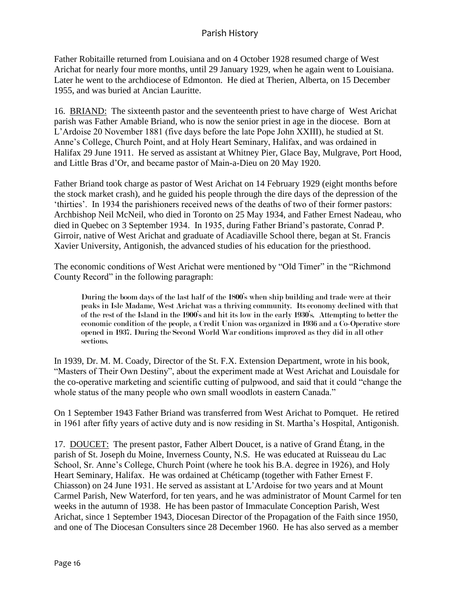Father Robitaille returned from Louisiana and on 4 October 1928 resumed charge of West Arichat for nearly four more months, until 29 January 1929, when he again went to Louisiana. Later he went to the archdiocese of Edmonton. He died at Therien, Alberta, on 15 December 1955, and was buried at Ancian Lauritte.

16. BRIAND: The sixteenth pastor and the seventeenth priest to have charge of West Arichat parish was Father Amable Briand, who is now the senior priest in age in the diocese. Born at L'Ardoise 20 November 1881 (five days before the late Pope John XXIII), he studied at St. Anne's College, Church Point, and at Holy Heart Seminary, Halifax, and was ordained in Halifax 29 June 1911. He served as assistant at Whitney Pier, Glace Bay, Mulgrave, Port Hood, and Little Bras d'Or, and became pastor of Main-a-Dieu on 20 May 1920.

Father Briand took charge as pastor of West Arichat on 14 February 1929 (eight months before the stock market crash), and he guided his people through the dire days of the depression of the 'thirties'. In 1934 the parishioners received news of the deaths of two of their former pastors: Archbishop Neil McNeil, who died in Toronto on 25 May 1934, and Father Ernest Nadeau, who died in Quebec on 3 September 1934. In 1935, during Father Briand's pastorate, Conrad P. Girroir, native of West Arichat and graduate of Acadiaville School there, began at St. Francis Xavier University, Antigonish, the advanced studies of his education for the priesthood.

The economic conditions of West Arichat were mentioned by "Old Timer" in the "Richmond County Record" in the following paragraph:

During the boom days of the last half of the 1800's when ship building and trade were at their peaks in Isle Madame, West Arichat was a thriving community. Its economy declined with that of the rest of the Island in the 1900's and hit its low in the early 1930's. Attempting to better the economic condition of the people, a Credit Union was organized in 1936 and a Co-Operative store opened in 1937. During the Second World War conditions improved as they did in all other sections.

In 1939, Dr. M. M. Coady, Director of the St. F.X. Extension Department, wrote in his book, "Masters of Their Own Destiny", about the experiment made at West Arichat and Louisdale for the co-operative marketing and scientific cutting of pulpwood, and said that it could "change the whole status of the many people who own small woodlots in eastern Canada."

On 1 September 1943 Father Briand was transferred from West Arichat to Pomquet. He retired in 1961 after fifty years of active duty and is now residing in St. Martha's Hospital, Antigonish.

17. DOUCET: The present pastor, Father Albert Doucet, is a native of Grand Étang, in the parish of St. Joseph du Moine, Inverness County, N.S. He was educated at Ruisseau du Lac School, Sr. Anne's College, Church Point (where he took his B.A. degree in 1926), and Holy Heart Seminary, Halifax. He was ordained at Chéticamp (together with Father Ernest F. Chiasson) on 24 June 1931. He served as assistant at L'Ardoise for two years and at Mount Carmel Parish, New Waterford, for ten years, and he was administrator of Mount Carmel for ten weeks in the autumn of 1938. He has been pastor of Immaculate Conception Parish, West Arichat, since 1 September 1943, Diocesan Director of the Propagation of the Faith since 1950, and one of The Diocesan Consulters since 28 December 1960. He has also served as a member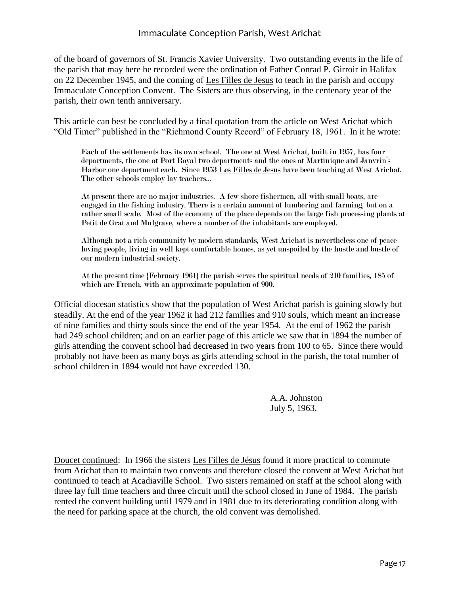of the board of governors of St. Francis Xavier University. Two outstanding events in the life of the parish that may here be recorded were the ordination of Father Conrad P. Girroir in Halifax on 22 December 1945, and the coming of Les Filles de Jesus to teach in the parish and occupy Immaculate Conception Convent. The Sisters are thus observing, in the centenary year of the parish, their own tenth anniversary.

This article can best be concluded by a final quotation from the article on West Arichat which "Old Timer" published in the "Richmond County Record" of February 18, 1961. In it he wrote:

Each of the settlements has its own school. The one at West Arichat, built in 1957, has four departments, the one at Port Royal two departments and the ones at Martinique and Janvrin's Harbor one department each. Since 1953 Les Filles de Jesus have been teaching at West Arichat. The other schools employ lay teachers…

At present there are no major industries. A few shore fishermen, all with small boats, are engaged in the fishing industry. There is a certain amount of lumbering and farming, but on a rather small scale. Most of the economy of the place depends on the large fish processing plants at Petit de Grat and Mulgrave, where a number of the inhabitants are employed.

Although not a rich community by modern standards, West Arichat is nevertheless one of peaceloving people, living in well kept comfortable homes, as yet unspoiled by the hustle and bustle of our modern industrial society.

At the present time {February 1961} the parish serves the spiritual needs of 210 families, 185 of which are French, with an approximate population of 900.

Official diocesan statistics show that the population of West Arichat parish is gaining slowly but steadily. At the end of the year 1962 it had 212 families and 910 souls, which meant an increase of nine families and thirty souls since the end of the year 1954. At the end of 1962 the parish had 249 school children; and on an earlier page of this article we saw that in 1894 the number of girls attending the convent school had decreased in two years from 100 to 65. Since there would probably not have been as many boys as girls attending school in the parish, the total number of school children in 1894 would not have exceeded 130.

> A.A. Johnston July 5, 1963.

Doucet continued: In 1966 the sisters Les Filles de Jésus found it more practical to commute from Arichat than to maintain two convents and therefore closed the convent at West Arichat but continued to teach at Acadiaville School. Two sisters remained on staff at the school along with three lay full time teachers and three circuit until the school closed in June of 1984. The parish rented the convent building until 1979 and in 1981 due to its deteriorating condition along with the need for parking space at the church, the old convent was demolished.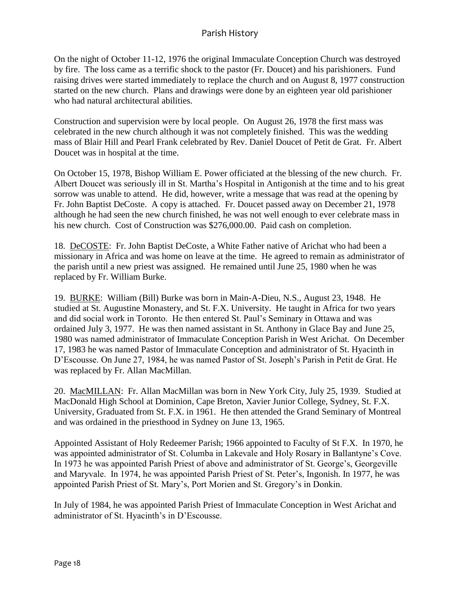On the night of October 11-12, 1976 the original Immaculate Conception Church was destroyed by fire. The loss came as a terrific shock to the pastor (Fr. Doucet) and his parishioners. Fund raising drives were started immediately to replace the church and on August 8, 1977 construction started on the new church. Plans and drawings were done by an eighteen year old parishioner who had natural architectural abilities.

Construction and supervision were by local people. On August 26, 1978 the first mass was celebrated in the new church although it was not completely finished. This was the wedding mass of Blair Hill and Pearl Frank celebrated by Rev. Daniel Doucet of Petit de Grat. Fr. Albert Doucet was in hospital at the time.

On October 15, 1978, Bishop William E. Power officiated at the blessing of the new church. Fr. Albert Doucet was seriously ill in St. Martha's Hospital in Antigonish at the time and to his great sorrow was unable to attend. He did, however, write a message that was read at the opening by Fr. John Baptist DeCoste. A copy is attached. Fr. Doucet passed away on December 21, 1978 although he had seen the new church finished, he was not well enough to ever celebrate mass in his new church. Cost of Construction was \$276,000.00. Paid cash on completion.

18. DeCOSTE: Fr. John Baptist DeCoste, a White Father native of Arichat who had been a missionary in Africa and was home on leave at the time. He agreed to remain as administrator of the parish until a new priest was assigned. He remained until June 25, 1980 when he was replaced by Fr. William Burke.

19. BURKE: William (Bill) Burke was born in Main-A-Dieu, N.S., August 23, 1948. He studied at St. Augustine Monastery, and St. F.X. University. He taught in Africa for two years and did social work in Toronto. He then entered St. Paul's Seminary in Ottawa and was ordained July 3, 1977. He was then named assistant in St. Anthony in Glace Bay and June 25, 1980 was named administrator of Immaculate Conception Parish in West Arichat. On December 17, 1983 he was named Pastor of Immaculate Conception and administrator of St. Hyacinth in D'Escousse. On June 27, 1984, he was named Pastor of St. Joseph's Parish in Petit de Grat. He was replaced by Fr. Allan MacMillan.

20. MacMILLAN: Fr. Allan MacMillan was born in New York City, July 25, 1939. Studied at MacDonald High School at Dominion, Cape Breton, Xavier Junior College, Sydney, St. F.X. University, Graduated from St. F.X. in 1961. He then attended the Grand Seminary of Montreal and was ordained in the priesthood in Sydney on June 13, 1965.

Appointed Assistant of Holy Redeemer Parish; 1966 appointed to Faculty of St F.X. In 1970, he was appointed administrator of St. Columba in Lakevale and Holy Rosary in Ballantyne's Cove. In 1973 he was appointed Parish Priest of above and administrator of St. George's, Georgeville and Maryvale. In 1974, he was appointed Parish Priest of St. Peter's, Ingonish. In 1977, he was appointed Parish Priest of St. Mary's, Port Morien and St. Gregory's in Donkin.

In July of 1984, he was appointed Parish Priest of Immaculate Conception in West Arichat and administrator of St. Hyacinth's in D'Escousse.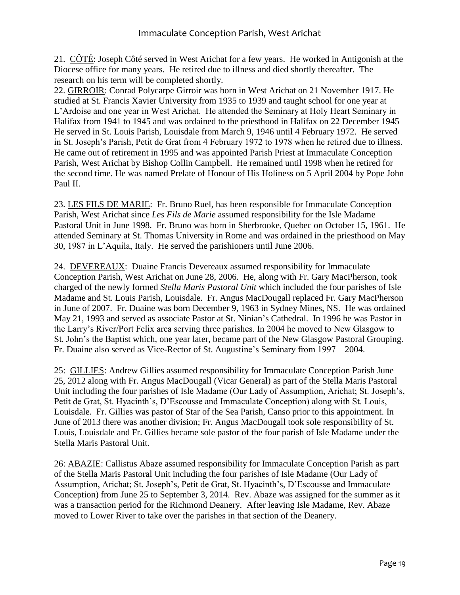21. CÔTÉ: Joseph Côté served in West Arichat for a few years. He worked in Antigonish at the Diocese office for many years. He retired due to illness and died shortly thereafter. The research on his term will be completed shortly.

22. GIRROIR: Conrad Polycarpe Girroir was born in West Arichat on 21 November 1917. He studied at St. Francis Xavier University from 1935 to 1939 and taught school for one year at L'Ardoise and one year in West Arichat. He attended the Seminary at Holy Heart Seminary in Halifax from 1941 to 1945 and was ordained to the priesthood in Halifax on 22 December 1945 He served in St. Louis Parish, Louisdale from March 9, 1946 until 4 February 1972. He served in St. Joseph's Parish, Petit de Grat from 4 February 1972 to 1978 when he retired due to illness. He came out of retirement in 1995 and was appointed Parish Priest at Immaculate Conception Parish, West Arichat by Bishop Collin Campbell. He remained until 1998 when he retired for the second time. He was named Prelate of Honour of His Holiness on 5 April 2004 by Pope John Paul II.

23. LES FILS DE MARIE: Fr. Bruno Ruel, has been responsible for Immaculate Conception Parish, West Arichat since *Les Fils de Marie* assumed responsibility for the Isle Madame Pastoral Unit in June 1998. Fr. Bruno was born in Sherbrooke, Quebec on October 15, 1961. He attended Seminary at St. Thomas University in Rome and was ordained in the priesthood on May 30, 1987 in L'Aquila, Italy. He served the parishioners until June 2006.

24. DEVEREAUX: Duaine Francis Devereaux assumed responsibility for Immaculate Conception Parish, West Arichat on June 28, 2006. He, along with Fr. Gary MacPherson, took charged of the newly formed *Stella Maris Pastoral Unit* which included the four parishes of Isle Madame and St. Louis Parish, Louisdale. Fr. Angus MacDougall replaced Fr. Gary MacPherson in June of 2007. Fr. Duaine was born December 9, 1963 in Sydney Mines, NS. He was ordained May 21, 1993 and served as associate Pastor at St. Ninian's Cathedral. In 1996 he was Pastor in the Larry's River/Port Felix area serving three parishes. In 2004 he moved to New Glasgow to St. John's the Baptist which, one year later, became part of the New Glasgow Pastoral Grouping. Fr. Duaine also served as Vice-Rector of St. Augustine's Seminary from 1997 – 2004.

25: GILLIES: Andrew Gillies assumed responsibility for Immaculate Conception Parish June 25, 2012 along with Fr. Angus MacDougall (Vicar General) as part of the Stella Maris Pastoral Unit including the four parishes of Isle Madame (Our Lady of Assumption, Arichat; St. Joseph's, Petit de Grat, St. Hyacinth's, D'Escousse and Immaculate Conception) along with St. Louis, Louisdale. Fr. Gillies was pastor of Star of the Sea Parish, Canso prior to this appointment. In June of 2013 there was another division; Fr. Angus MacDougall took sole responsibility of St. Louis, Louisdale and Fr. Gillies became sole pastor of the four parish of Isle Madame under the Stella Maris Pastoral Unit.

26: ABAZIE: Callistus Abaze assumed responsibility for Immaculate Conception Parish as part of the Stella Maris Pastoral Unit including the four parishes of Isle Madame (Our Lady of Assumption, Arichat; St. Joseph's, Petit de Grat, St. Hyacinth's, D'Escousse and Immaculate Conception) from June 25 to September 3, 2014. Rev. Abaze was assigned for the summer as it was a transaction period for the Richmond Deanery. After leaving Isle Madame, Rev. Abaze moved to Lower River to take over the parishes in that section of the Deanery.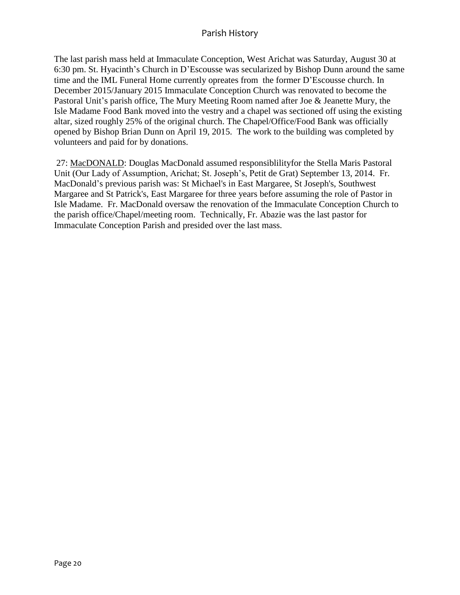The last parish mass held at Immaculate Conception, West Arichat was Saturday, August 30 at 6:30 pm. St. Hyacinth's Church in D'Escousse was secularized by Bishop Dunn around the same time and the IML Funeral Home currently opreates from the former D'Escousse church. In December 2015/January 2015 Immaculate Conception Church was renovated to become the Pastoral Unit's parish office, The Mury Meeting Room named after Joe & Jeanette Mury, the Isle Madame Food Bank moved into the vestry and a chapel was sectioned off using the existing altar, sized roughly 25% of the original church. The Chapel/Office/Food Bank was officially opened by Bishop Brian Dunn on April 19, 2015. The work to the building was completed by volunteers and paid for by donations.

27: MacDONALD: Douglas MacDonald assumed responsiblilityfor the Stella Maris Pastoral Unit (Our Lady of Assumption, Arichat; St. Joseph's, Petit de Grat) September 13, 2014. Fr. MacDonald's previous parish was: St Michael's in East Margaree, St Joseph's, Southwest Margaree and St Patrick's, East Margaree for three years before assuming the role of Pastor in Isle Madame. Fr. MacDonald oversaw the renovation of the Immaculate Conception Church to the parish office/Chapel/meeting room. Technically, Fr. Abazie was the last pastor for Immaculate Conception Parish and presided over the last mass.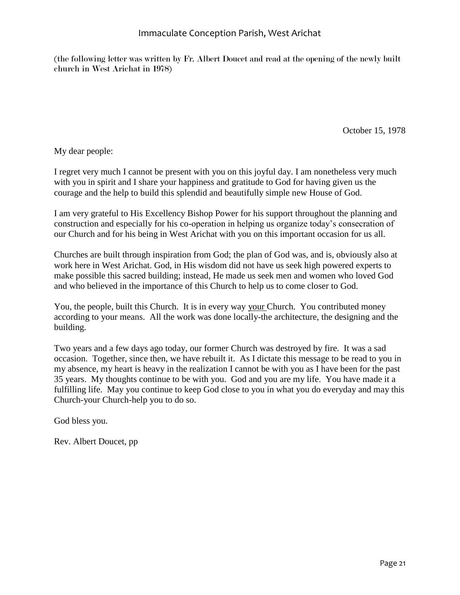(the following letter was written by Fr. Albert Doucet and read at the opening of the newly built church in West Arichat in 1978)

October 15, 1978

My dear people:

I regret very much I cannot be present with you on this joyful day. I am nonetheless very much with you in spirit and I share your happiness and gratitude to God for having given us the courage and the help to build this splendid and beautifully simple new House of God.

I am very grateful to His Excellency Bishop Power for his support throughout the planning and construction and especially for his co-operation in helping us organize today's consecration of our Church and for his being in West Arichat with you on this important occasion for us all.

Churches are built through inspiration from God; the plan of God was, and is, obviously also at work here in West Arichat. God, in His wisdom did not have us seek high powered experts to make possible this sacred building; instead, He made us seek men and women who loved God and who believed in the importance of this Church to help us to come closer to God.

You, the people, built this Church. It is in every way your Church. You contributed money according to your means. All the work was done locally-the architecture, the designing and the building.

Two years and a few days ago today, our former Church was destroyed by fire. It was a sad occasion. Together, since then, we have rebuilt it. As I dictate this message to be read to you in my absence, my heart is heavy in the realization I cannot be with you as I have been for the past 35 years. My thoughts continue to be with you. God and you are my life. You have made it a fulfilling life. May you continue to keep God close to you in what you do everyday and may this Church-your Church-help you to do so.

God bless you.

Rev. Albert Doucet, pp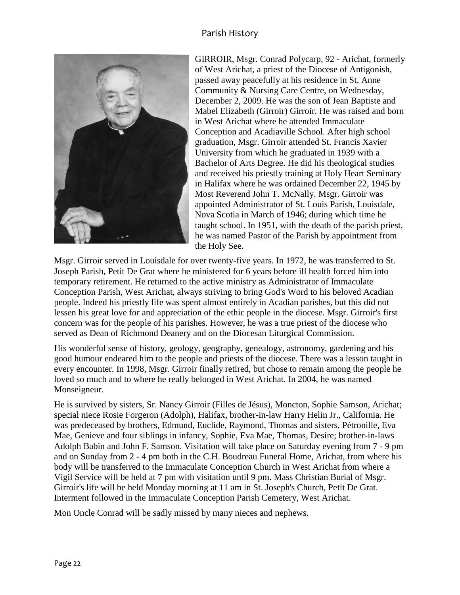

GIRROIR, Msgr. Conrad Polycarp, 92 - Arichat, formerly of West Arichat, a priest of the Diocese of Antigonish, passed away peacefully at his residence in St. Anne Community & Nursing Care Centre, on Wednesday, December 2, 2009. He was the son of Jean Baptiste and Mabel Elizabeth (Girroir) Girroir. He was raised and born in West Arichat where he attended Immaculate Conception and Acadiaville School. After high school graduation, Msgr. Girroir attended St. Francis Xavier University from which he graduated in 1939 with a Bachelor of Arts Degree. He did his theological studies and received his priestly training at Holy Heart Seminary in Halifax where he was ordained December 22, 1945 by Most Reverend John T. McNally. Msgr. Girroir was appointed Administrator of St. Louis Parish, Louisdale, Nova Scotia in March of 1946; during which time he taught school. In 1951, with the death of the parish priest, he was named Pastor of the Parish by appointment from the Holy See.

Msgr. Girroir served in Louisdale for over twenty-five years. In 1972, he was transferred to St. Joseph Parish, Petit De Grat where he ministered for 6 years before ill health forced him into temporary retirement. He returned to the active ministry as Administrator of Immaculate Conception Parish, West Arichat, always striving to bring God's Word to his beloved Acadian people. Indeed his priestly life was spent almost entirely in Acadian parishes, but this did not lessen his great love for and appreciation of the ethic people in the diocese. Msgr. Girroir's first concern was for the people of his parishes. However, he was a true priest of the diocese who served as Dean of Richmond Deanery and on the Diocesan Liturgical Commission.

His wonderful sense of history, geology, geography, genealogy, astronomy, gardening and his good humour endeared him to the people and priests of the diocese. There was a lesson taught in every encounter. In 1998, Msgr. Girroir finally retired, but chose to remain among the people he loved so much and to where he really belonged in West Arichat. In 2004, he was named Monseigneur.

He is survived by sisters, Sr. Nancy Girroir (Filles de Jésus), Moncton, Sophie Samson, Arichat; special niece Rosie Forgeron (Adolph), Halifax, brother-in-law Harry Helin Jr., California. He was predeceased by brothers, Edmund, Euclide, Raymond, Thomas and sisters, Pétronille, Eva Mae, Genieve and four siblings in infancy, Sophie, Eva Mae, Thomas, Desire; brother-in-laws Adolph Babin and John F. Samson. Visitation will take place on Saturday evening from 7 - 9 pm and on Sunday from 2 - 4 pm both in the C.H. Boudreau Funeral Home, Arichat, from where his body will be transferred to the Immaculate Conception Church in West Arichat from where a Vigil Service will be held at 7 pm with visitation until 9 pm. Mass Christian Burial of Msgr. Girroir's life will be held Monday morning at 11 am in St. Joseph's Church, Petit De Grat. Interment followed in the Immaculate Conception Parish Cemetery, West Arichat.

Mon Oncle Conrad will be sadly missed by many nieces and nephews.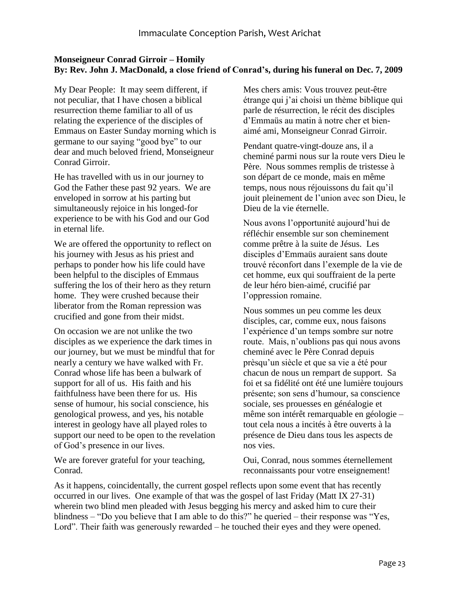#### **Monseigneur Conrad Girroir – Homily By: Rev. John J. MacDonald, a close friend of Conrad's, during his funeral on Dec. 7, 2009**

My Dear People: It may seem different, if not peculiar, that I have chosen a biblical resurrection theme familiar to all of us relating the experience of the disciples of Emmaus on Easter Sunday morning which is germane to our saying "good bye" to our dear and much beloved friend, Monseigneur Conrad Girroir.

He has travelled with us in our journey to God the Father these past 92 years. We are enveloped in sorrow at his parting but simultaneously rejoice in his longed-for experience to be with his God and our God in eternal life.

We are offered the opportunity to reflect on his journey with Jesus as his priest and perhaps to ponder how his life could have been helpful to the disciples of Emmaus suffering the los of their hero as they return home. They were crushed because their liberator from the Roman repression was crucified and gone from their midst.

On occasion we are not unlike the two disciples as we experience the dark times in our journey, but we must be mindful that for nearly a century we have walked with Fr. Conrad whose life has been a bulwark of support for all of us. His faith and his faithfulness have been there for us. His sense of humour, his social conscience, his genological prowess, and yes, his notable interest in geology have all played roles to support our need to be open to the revelation of God's presence in our lives.

We are forever grateful for your teaching, Conrad.

Mes chers amis: Vous trouvez peut-être étrange qui j'ai choisi un thème biblique qui parle de résurrection, le récit des disciples d'Emmaüs au matin à notre cher et bienaimé ami, Monseigneur Conrad Girroir.

Pendant quatre-vingt-douze ans, il a cheminé parmi nous sur la route vers Dieu le Père. Nous sommes remplis de tristesse à son départ de ce monde, mais en même temps, nous nous réjouissons du fait qu'il jouit pleinement de l'union avec son Dieu, le Dieu de la vie éternelle.

Nous avons l'opportunité aujourd'hui de réfléchir ensemble sur son cheminement comme prêtre à la suite de Jésus. Les disciples d'Emmaüs auraient sans doute trouvé réconfort dans l'exemple de la vie de cet homme, eux qui souffraient de la perte de leur héro bien-aimé, crucifié par l'oppression romaine.

Nous sommes un peu comme les deux disciples, car, comme eux, nous faisons l'expérience d'un temps sombre sur notre route. Mais, n'oublions pas qui nous avons cheminé avec le Père Conrad depuis prèsqu'un siècle et que sa vie a été pour chacun de nous un rempart de support. Sa foi et sa fidélité ont été une lumière toujours présente; son sens d'humour, sa conscience sociale, ses prouesses en généalogie et même son intérêt remarquable en géologie – tout cela nous a incités à être ouverts à la présence de Dieu dans tous les aspects de nos vies.

Oui, Conrad, nous sommes éternellement reconnaissants pour votre enseignement!

As it happens, coincidentally, the current gospel reflects upon some event that has recently occurred in our lives. One example of that was the gospel of last Friday (Matt IX 27-31) wherein two blind men pleaded with Jesus begging his mercy and asked him to cure their blindness – "Do you believe that I am able to do this?" he queried – their response was "Yes, Lord". Their faith was generously rewarded – he touched their eyes and they were opened.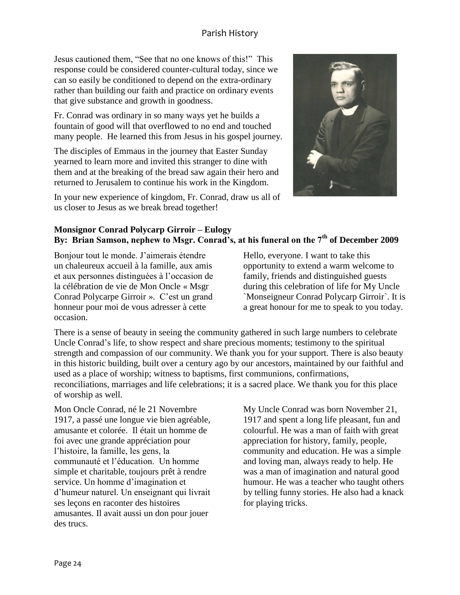Jesus cautioned them, "See that no one knows of this!" This response could be considered counter-cultural today, since we can so easily be conditioned to depend on the extra-ordinary rather than building our faith and practice on ordinary events that give substance and growth in goodness.

Fr. Conrad was ordinary in so many ways yet he builds a fountain of good will that overflowed to no end and touched many people. He learned this from Jesus in his gospel journey.

The disciples of Emmaus in the journey that Easter Sunday yearned to learn more and invited this stranger to dine with them and at the breaking of the bread saw again their hero and returned to Jerusalem to continue his work in the Kingdom.

In your new experience of kingdom, Fr. Conrad, draw us all of us closer to Jesus as we break bread together!



#### **Monsignor Conrad Polycarp Girroir – Eulogy By: Brian Samson, nephew to Msgr. Conrad's, at his funeral on the 7th of December 2009**

Bonjour tout le monde. J'aimerais étendre un chaleureux accueil à la famille, aux amis et aux personnes distinguées à l'occasion de la célébration de vie de Mon Oncle « Msgr Conrad Polycarpe Girroir ». C'est un grand honneur pour moi de vous adresser à cette occasion.

Hello, everyone. I want to take this opportunity to extend a warm welcome to family, friends and distinguished guests during this celebration of life for My Uncle `Monseigneur Conrad Polycarp Girroir`. It is a great honour for me to speak to you today.

There is a sense of beauty in seeing the community gathered in such large numbers to celebrate Uncle Conrad's life, to show respect and share precious moments; testimony to the spiritual strength and compassion of our community. We thank you for your support. There is also beauty in this historic building, built over a century ago by our ancestors, maintained by our faithful and used as a place of worship; witness to baptisms, first communions, confirmations, reconciliations, marriages and life celebrations; it is a sacred place. We thank you for this place of worship as well.

Mon Oncle Conrad, né le 21 Novembre 1917, a passé une longue vie bien agréable, amusante et colorée. Il était un homme de foi avec une grande appréciation pour l'histoire, la famille, les gens, la communauté et l'éducation. Un homme simple et charitable, toujours prêt à rendre service. Un homme d'imagination et d'humeur naturel. Un enseignant qui livrait ses leçons en raconter des histoires amusantes. Il avait aussi un don pour jouer des trucs.

My Uncle Conrad was born November 21, 1917 and spent a long life pleasant, fun and colourful. He was a man of faith with great appreciation for history, family, people, community and education. He was a simple and loving man, always ready to help. He was a man of imagination and natural good humour. He was a teacher who taught others by telling funny stories. He also had a knack for playing tricks.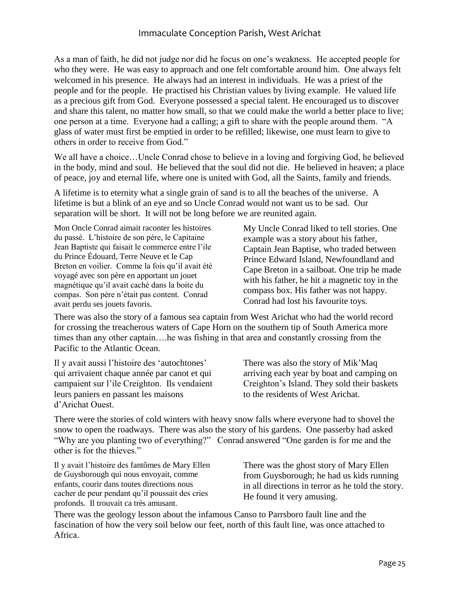As a man of faith, he did not judge nor did he focus on one's weakness. He accepted people for who they were. He was easy to approach and one felt comfortable around him. One always felt welcomed in his presence. He always had an interest in individuals. He was a priest of the people and for the people. He practised his Christian values by living example. He valued life as a precious gift from God. Everyone possessed a special talent. He encouraged us to discover and share this talent, no matter how small, so that we could make the world a better place to live; one person at a time. Everyone had a calling; a gift to share with the people around them. "A glass of water must first be emptied in order to be refilled; likewise, one must learn to give to others in order to receive from God."

We all have a choice...Uncle Conrad chose to believe in a loving and forgiving God, he believed in the body, mind and soul. He believed that the soul did not die. He believed in heaven; a place of peace, joy and eternal life, where one is united with God, all the Saints, family and friends.

A lifetime is to eternity what a single grain of sand is to all the beaches of the universe. A lifetime is but a blink of an eye and so Uncle Conrad would not want us to be sad. Our separation will be short. It will not be long before we are reunited again.

Mon Oncle Conrad aimait raconter les histoires du passé. L'histoire de son père, le Capitaine Jean Baptiste qui faisait le commerce entre l'ile du Prince Édouard, Terre Neuve et le Cap Breton en voilier. Comme la fois qu'il avait été voyagé avec son père en apportant un jouet magnétique qu'il avait caché dans la boite du compas. Son père n'était pas content. Conrad avait perdu ses jouets favoris.

My Uncle Conrad liked to tell stories. One example was a story about his father, Captain Jean Baptise, who traded between Prince Edward Island, Newfoundland and Cape Breton in a sailboat. One trip he made with his father, he hit a magnetic toy in the compass box. His father was not happy. Conrad had lost his favourite toys.

There was also the story of a famous sea captain from West Arichat who had the world record for crossing the treacherous waters of Cape Horn on the southern tip of South America more times than any other captain….he was fishing in that area and constantly crossing from the Pacific to the Atlantic Ocean.

Il y avait aussi l'histoire des 'autochtones' qui arrivaient chaque année par canot et qui campaient sur l'ile Creighton. Ils vendaient leurs paniers en passant les maisons d'Arichat Ouest.

There was also the story of Mik'Maq arriving each year by boat and camping on Creighton's Island. They sold their baskets to the residents of West Arichat.

There were the stories of cold winters with heavy snow falls where everyone had to shovel the snow to open the roadways. There was also the story of his gardens. One passerby had asked "Why are you planting two of everything?" Conrad answered "One garden is for me and the other is for the thieves."

Il y avait l'histoire des fantômes de Mary Ellen de Guysborough qui nous envoyait, comme enfants, courir dans toutes directions nous cacher de peur pendant qu'il poussait des cries profonds. Il trouvait ca très amusant.

There was the ghost story of Mary Ellen from Guysborough; he had us kids running in all directions in terror as he told the story. He found it very amusing.

There was the geology lesson about the infamous Canso to Parrsboro fault line and the fascination of how the very soil below our feet, north of this fault line, was once attached to Africa.